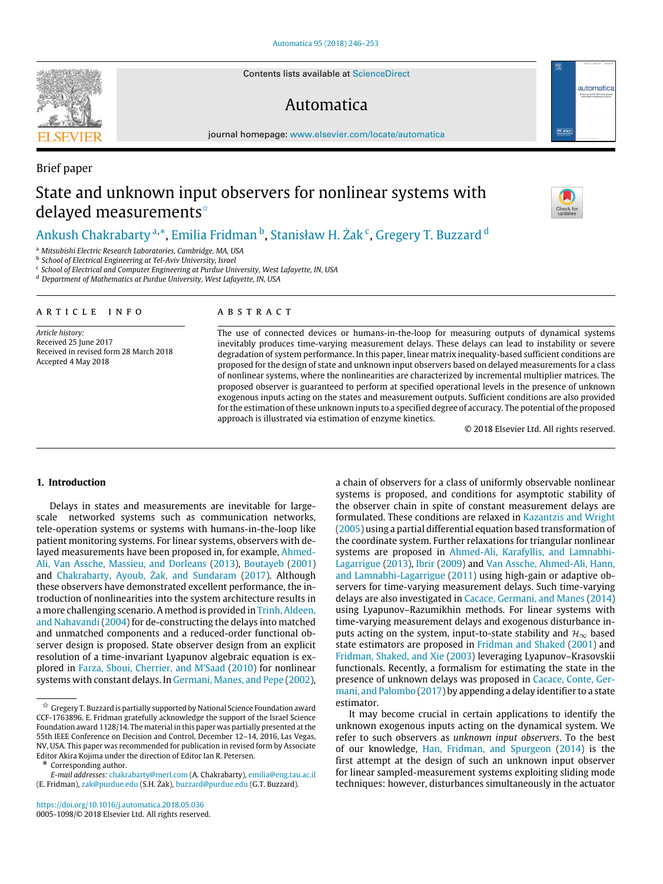Contents lists available at [ScienceDirect](http://www.elsevier.com/locate/automatica)

## Automatica

journal homepage: [www.elsevier.com/locate/automatica](http://www.elsevier.com/locate/automatica)

# Brief paper State and unknown input observers for nonlinear systems with delayed measurements<sup>☆</sup>

### [Ankush](#page-7-0) [Chakrabarty](#page-7-0) <sup>[a,](#page-0-1)</sup>[\\*](#page-0-2), [Emilia](#page-7-1) [Fridman](#page-7-1) <sup>[b](#page-0-3)</sup>, [Stanisław H.](#page-7-2) [Żak](#page-7-2) <sup>[c](#page-0-4)</sup>, [Gregery T.](#page-7-3) [Buzzard](#page-7-3) <sup>[d](#page-0-5)</sup>

<span id="page-0-1"></span><sup>a</sup> *Mitsubishi Electric Research Laboratories, Cambridge, MA, USA*

<span id="page-0-3"></span>b *School of Electrical Engineering at Tel-Aviv University, Israel*

<span id="page-0-4"></span>c *School of Electrical and Computer Engineering at Purdue University, West Lafayette, IN, USA*

<span id="page-0-5"></span><sup>d</sup> *Department of Mathematics at Purdue University, West Lafayette, IN, USA*

#### a r t i c l e i n f o

*Article history:* Received 25 June 2017 Received in revised form 28 March 2018 Accepted 4 May 2018

#### A B S T R A C T

The use of connected devices or humans-in-the-loop for measuring outputs of dynamical systems inevitably produces time-varying measurement delays. These delays can lead to instability or severe degradation of system performance. In this paper, linear matrix inequality-based sufficient conditions are proposed for the design of state and unknown input observers based on delayed measurements for a class of nonlinear systems, where the nonlinearities are characterized by incremental multiplier matrices. The proposed observer is guaranteed to perform at specified operational levels in the presence of unknown exogenous inputs acting on the states and measurement outputs. Sufficient conditions are also provided for the estimation of these unknown inputs to a specified degree of accuracy. The potential of the proposed approach is illustrated via estimation of enzyme kinetics.

© 2018 Elsevier Ltd. All rights reserved.

#### **1. Introduction**

Delays in states and measurements are inevitable for largescale networked systems such as communication networks, tele-operation systems or systems with humans-in-the-loop like patient monitoring systems. For linear systems, observers with de[l](#page-7-4)ayed measurements have been proposed in, for example, [Ahmed-](#page-7-4)[Ali,](#page-7-4) [Van Assche,](#page-7-4) [Massieu,](#page-7-4) [and](#page-7-4) [Dorleans](#page-7-4) [\(2013\)](#page-7-4), [Boutayeb](#page-7-5) [\(2001\)](#page-7-5) and [Chakrabarty,](#page-7-6) [Ayoub,](#page-7-6) [Żak,](#page-7-6) [and](#page-7-6) [Sundaram](#page-7-6) [\(2017\)](#page-7-6). Although these observers have demonstrated excellent performance, the introduction of nonlinearities into the system architecture results in a more challenging scenario. A method is provided in [Trinh,](#page-7-7) [Aldeen,](#page-7-7) [and](#page-7-7) [Nahavandi](#page-7-7) [\(2004\)](#page-7-7) for de-constructing the delays into matched and unmatched components and a reduced-order functional observer design is proposed. State observer design from an explicit resolution of a time-invariant Lyapunov algebraic equation is explored in [Farza,](#page-7-8) [Sboui,](#page-7-8) [Cherrier,](#page-7-8) [and](#page-7-8) [M'Saad](#page-7-8) [\(2010\)](#page-7-8) for nonlinear systems with constant delays. In [Germani,](#page-7-9) [Manes,](#page-7-9) [and](#page-7-9) [Pepe](#page-7-9) [\(2002\)](#page-7-9),

<span id="page-0-2"></span>\* Corresponding author. [Fridman,](#page-7-16) [Shaked,](#page-7-16) [and](#page-7-16) [Xie](#page-7-16) [\(2003\)](#page-7-16) leveraging Lyapunov–Krasovskii functionals. Recently, a formalism for estimating the state in the [p](#page-7-17)resence of unknown delays was proposed in [Cacace,](#page-7-17) [Conte,](#page-7-17) [Ger](#page-7-17)[mani,](#page-7-17) [and](#page-7-17) [Palombo](#page-7-17) [\(2017\)](#page-7-17) by appending a delay identifier to a state estimator. It may become crucial in certain applications to identify the unknown exogenous inputs acting on the dynamical system. We refer to such observers as *unknown input observers*. To the best of our knowledge, [Han,](#page-7-18) [Fridman,](#page-7-18) [and](#page-7-18) [Spurgeon](#page-7-18) [\(2014\)](#page-7-18) is the first attempt at the design of such an unknown input observer for linear sampled-measurement systems exploiting sliding mode

techniques: however, disturbances simultaneously in the actuator

a chain of observers for a class of uniformly observable nonlinear systems is proposed, and conditions for asymptotic stability of the observer chain in spite of constant measurement delays are formulated. These conditions are relaxed in [Kazantzis](#page-7-10) [and](#page-7-10) [Wright](#page-7-10) [\(2005\)](#page-7-10) using a partial differential equation based transformation of the coordinate system. Further relaxations for triangular nonlinear [s](#page-7-11)ystems are proposed in [Ahmed-Ali,](#page-7-11) [Karafyllis,](#page-7-11) [and](#page-7-11) [Lamnabhi-](#page-7-11)[Lagarrigue](#page-7-11) [\(2013\)](#page-7-11), [Ibrir](#page-7-12) [\(2009\)](#page-7-12) and [Van Assche,](#page-7-13) [Ahmed-Ali,](#page-7-13) [Hann,](#page-7-13) [and](#page-7-13) [Lamnabhi-Lagarrigue](#page-7-13) [\(2011\)](#page-7-13) using high-gain or adaptive observers for time-varying measurement delays. Such time-varying delays are also investigated in [Cacace,](#page-7-14) [Germani,](#page-7-14) [and](#page-7-14) [Manes](#page-7-14) [\(2014\)](#page-7-14) using Lyapunov–Razumikhin methods. For linear systems with time-varying measurement delays and exogenous disturbance inputs acting on the system, input-to-state stability and  $\mathcal{H}_{\infty}$  based state estimators are proposed in [Fridman](#page-7-15) [and](#page-7-15) [Shaked](#page-7-15) [\(2001\)](#page-7-15) and

automatica



<span id="page-0-0"></span> $\overset{\star}{\rtimes}$  Gregery T. Buzzard is partially supported by National Science Foundation award CCF-1763896. E. Fridman gratefully acknowledge the support of the Israel Science Foundation award 1128/14. The material in this paper was partially presented at the 55th IEEE Conference on Decision and Control, December 12–14, 2016, Las Vegas, NV, USA. This paper was recommended for publication in revised form by Associate Editor Akira Kojima under the direction of Editor Ian R. Petersen.

*E-mail addresses:* [chakrabarty@merl.com](mailto:chakrabarty@merl.com) (A. Chakrabarty), [emilia@eng.tau.ac.il](mailto:emilia@eng.tau.ac.il) (E. Fridman), [zak@purdue.edu](mailto:zak@purdue.edu) (S.H. Żak), [buzzard@purdue.edu](mailto:buzzard@purdue.edu) (G.T. Buzzard).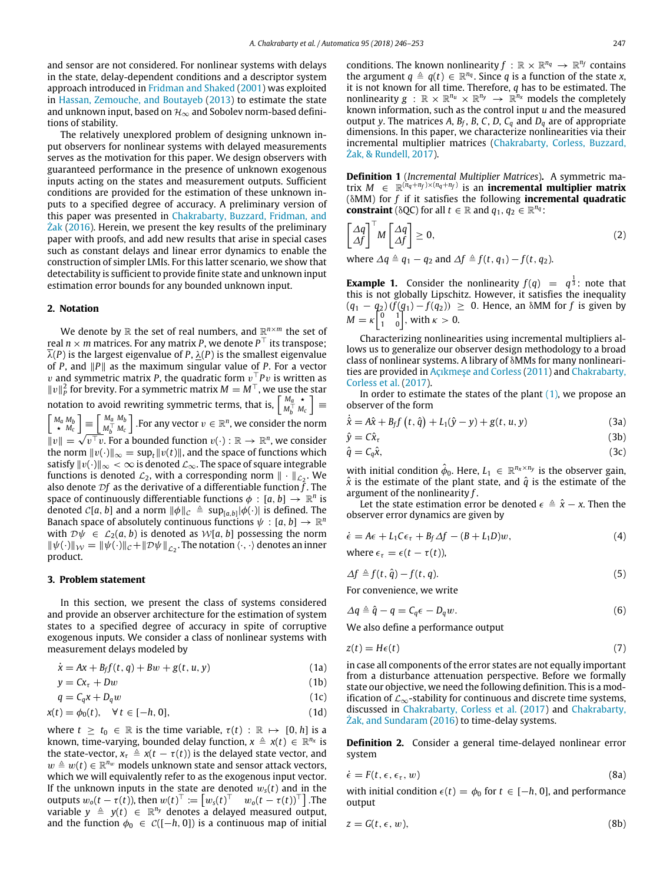and sensor are not considered. For nonlinear systems with delays in the state, delay-dependent conditions and a descriptor system approach introduced in [Fridman](#page-7-15) [and](#page-7-15) [Shaked](#page-7-15) [\(2001\)](#page-7-15) was exploited in [Hassan,](#page-7-19) [Zemouche,](#page-7-19) [and](#page-7-19) [Boutayeb](#page-7-19) [\(2013\)](#page-7-19) to estimate the state and unknown input, based on  $\mathcal{H}_{\infty}$  and Sobolev norm-based definitions of stability.

The relatively unexplored problem of designing unknown input observers for nonlinear systems with delayed measurements serves as the motivation for this paper. We design observers with guaranteed performance in the presence of unknown exogenous inputs acting on the states and measurement outputs. Sufficient conditions are provided for the estimation of these unknown inputs to a specified degree of accuracy. A preliminary version of this paper was presented in [Chakrabarty,](#page-7-20) [Buzzard,](#page-7-20) [Fridman,](#page-7-20) [and](#page-7-20) [Żak](#page-7-20) [\(2016\)](#page-7-20). Herein, we present the key results of the preliminary paper with proofs, and add new results that arise in special cases such as constant delays and linear error dynamics to enable the construction of simpler LMIs. For this latter scenario, we show that detectability is sufficient to provide finite state and unknown input estimation error bounds for any bounded unknown input.

#### **2. Notation**

We denote by  $\mathbb R$  the set of real numbers, and  $\mathbb R^{n\times m}$  the set of real  $n \times m$  matrices. For any matrix P, we denote  $P^\top$  its transpose;  $\overline{\lambda}(P)$  is the largest eigenvalue of P,  $\lambda(P)$  is the smallest eigenvalue of *P*, and ∥*P*∥ as the maximum singular value of *P*. For a vector v and symmetric matrix *P*, the quadratic form v <sup>⊤</sup>*P*v is written as ∥v∥ 2 for brevity. For a symmetric matrix *M* = *M*⊤, we use the star *P*<sup> $\parallel$ *v* $\parallel$ *p*  $\parallel$ *o D*(*v*<sub>1</sub>*y*</sup>, *b*<sub>1</sub>*a d*<sub>*x*</sub><sup>*n*</sup><sub>*d*</sub><sup>*n*</sup></sup>*a*<sup>*m*</sup><sub>*M*</sub><sup>*n*</sup></sup>*m*<sup>*n*</sup></sup>*M*<sup>*n*</sup></sup>*M*<sup>*n*</sup></sup>*M*<sup>*n*</sup></sup>*M*<sup>*n*</sup>  $M_b^{\top} M_c$ ] ≡  $\begin{bmatrix} M_a M_b \\ \star M_c \end{bmatrix} \equiv \begin{bmatrix} M_a M_b \\ M_b^\top M_c \end{bmatrix}$  $M_b^{\top}$   $M_c$  $\begin{bmatrix} M_a M_b \\ \star M_c \end{bmatrix} \equiv \begin{bmatrix} M_a M_b \\ M_b^\top M_c \end{bmatrix}$ . For any vector  $v \in \mathbb{R}^n$ , we consider the norm  $||v|| = \sqrt{v^\top v}$ . For a bounded function  $v(\cdot) : \mathbb{R} \to \mathbb{R}^n$ , we consider the norm  $||v(\cdot)||_{\infty} = \sup_t ||v(t)||$ , and the space of functions which satisfy  $||v(\cdot)||_{\infty} < \infty$  is denoted  $\mathcal{L}_{\infty}$ . The space of square integrable functions is denoted  $\mathcal{L}_2$ , with a corresponding norm  $\|\cdot\|_{\mathcal{L}_2}$ . We also denote  $Df$  as the derivative of a differentiable function  $\tilde{f}$ . The space of continuously differentiable functions  $\phi : [a, b] \rightarrow \mathbb{R}^n$  is denoted  $C[a, b]$  and a norm  $\|\phi\|_{\mathcal{C}} \triangleq \sup_{[a, b]} |\phi(\cdot)|$  is defined. The Banach space of absolutely continuous functions  $\psi : [a, b] \to \mathbb{R}^n$ with  $\mathcal{D}\psi \in \mathcal{L}_2(a, b)$  is denoted as  $\mathcal{W}[a, b]$  possessing the norm  $\|\psi(\cdot)\|_{\mathcal{W}} = \|\psi(\cdot)\|_{\mathcal{C}} + \|\mathcal{D}\psi\|_{\mathcal{L}_2}$ . The notation  $\langle \cdot, \cdot \rangle$  denotes an inner product.

#### **3. Problem statement**

In this section, we present the class of systems considered and provide an observer architecture for the estimation of system states to a specified degree of accuracy in spite of corruptive exogenous inputs. We consider a class of nonlinear systems with measurement delays modeled by

<span id="page-1-0"></span>
$$
\dot{x} = Ax + B_f f(t, q) + Bw + g(t, u, y) \tag{1a}
$$

<span id="page-1-7"></span>
$$
y = Cx_{\tau} + Dw \tag{1b}
$$

$$
q = C_q x + D_q w \tag{1c}
$$

$$
x(t) = \phi_0(t), \quad \forall t \in [-h, 0], \tag{1d}
$$

where  $t \geq t_0 \in \mathbb{R}$  is the time variable,  $\tau(t) : \mathbb{R} \mapsto [0, h]$  is a known, time-varying, bounded delay function,  $x \triangleq x(t) \in \mathbb{R}^{n_x}$  is the state-vector,  $x_{\tau} \triangleq x(t - \tau(t))$  is the delayed state vector, and  $w \triangleq w(t) \in \mathbb{R}^{n_w}$  models unknown state and sensor attack vectors, which we will equivalently refer to as the exogenous input vector. If the unknown inputs in the state are denoted  $w<sub>s</sub>(t)$  and in the outputs  $w_o(t - \tau(t))$ , then  $w(t)^\top := \begin{bmatrix} w_s(t)^\top & w_o(t - \tau(t))^\top \end{bmatrix}$ . The variable  $y \triangleq y(t) \in \mathbb{R}^{n_y}$  denotes a delayed measured output, and the function  $\phi_0 \in C([-h, 0])$  is a continuous map of initial

conditions. The known nonlinearity  $f : \mathbb{R} \times \mathbb{R}^{n_q} \to \mathbb{R}^{n_f}$  contains the argument  $q \triangleq q(t) \in \mathbb{R}^{n_q}$ . Since *q* is a function of the state *x*, it is not known for all time. Therefore, *q* has to be estimated. The nonlinearity  $g : \mathbb{R} \times \mathbb{R}^{n_u} \times \mathbb{R}^{n_y} \to \mathbb{R}^{n_x}$  models the completely known information, such as the control input *u* and the measured output *y*. The matrices *A*, *B<sup>f</sup>* , *B*, *C*, *D*, *C<sup>q</sup>* and *D<sup>q</sup>* are of appropriate dimensions. In this paper, we characterize nonlinearities via their incremental multiplier matrices [\(Chakrabarty,](#page-7-21) [Corless,](#page-7-21) [Buzzard,](#page-7-21) [Żak,](#page-7-21) [&](#page-7-21) [Rundell,](#page-7-21) [2017\)](#page-7-21).

**Definition 1** (*Incremental Multiplier Matrices*)**.** A symmetric matrix  $M \in \mathbb{R}^{(\hat{n}_q + n_f) \times (n_q + n_f)}$  is an **incremental multiplier matrix** (δMM) for *f* if it satisfies the following **incremental quadratic constraint** ( $\delta QC$ ) for all  $t \in \mathbb{R}$  and  $q_1, q_2 \in \mathbb{R}^{n_q}$ :

$$
\begin{bmatrix} \Delta q \\ \Delta f \end{bmatrix}^\top M \begin{bmatrix} \Delta q \\ \Delta f \end{bmatrix} \ge 0, \tag{2}
$$

where  $\Delta q \triangleq q_1 - q_2$  and  $\Delta f \triangleq f(t, q_1) - f(t, q_2)$ .

**Example 1.** Consider the nonlinearity  $f(q) = q^{\frac{1}{3}}$ : note that this is not globally Lipschitz. However, it satisfies the inequality  $(q_1 - q_2)(f(q_1) - f(q_2)) ≥ 0$ . Hence, an  $\delta M M$  for *f* is given by  $M = \kappa \begin{bmatrix} 0 & 1 \\ 1 & 0 \end{bmatrix}$ , with  $\kappa > 0$ .

Characterizing nonlinearities using incremental multipliers allows us to generalize our observer design methodology to a broad class of nonlinear systems. A library of δMMs for many nonlinearities are provided in [Açıkmeşe](#page-7-22) [and](#page-7-22) [Corless](#page-7-22) [\(2011\)](#page-7-22) and [Chakrabarty,](#page-7-21) [Corless](#page-7-21) [et](#page-7-21) [al.](#page-7-21) [\(2017\)](#page-7-21).

In order to estimate the states of the plant  $(1)$ , we propose an observer of the form

<span id="page-1-2"></span>
$$
\dot{\hat{x}} = A\hat{x} + B_f f(t, \hat{q}) + L_1(\hat{y} - y) + g(t, u, y)
$$
\n(3a)

$$
\hat{y} = C\hat{x}_{\tau} \tag{3b}
$$

$$
\hat{q} = C_q \hat{x},\tag{3c}
$$

with initial condition  $\hat{\phi}_0$ . Here,  $L_1 \in \mathbb{R}^{n_x \times n_y}$  is the observer gain,  $\hat{x}$  is the estimate of the plant state, and  $\hat{q}$  is the estimate of the argument of the nonlinearity *f* .

Let the state estimation error be denoted  $\epsilon \triangleq \hat{x} - x$ . Then the observer error dynamics are given by

<span id="page-1-3"></span>
$$
\dot{\epsilon} = A\epsilon + L_1 C\epsilon_\tau + B_f \Delta f - (B + L_1 D)w,\tag{4}
$$

where  $\epsilon_{\tau} = \epsilon(t - \tau(t))$ ,

<span id="page-1-5"></span>
$$
\Delta f \triangleq f(t, \hat{q}) - f(t, q). \tag{5}
$$

For convenience, we write

<span id="page-1-6"></span>
$$
\Delta q \triangleq \hat{q} - q = C_q \epsilon - D_q w. \tag{6}
$$

We also define a performance output

$$
z(t) = H\epsilon(t) \tag{7}
$$

in case all components of the error states are not equally important from a disturbance attenuation perspective. Before we formally state our objective, we need the following definition. This is a modification of  $\mathcal{L}_{\infty}$ -stability for continuous and discrete time systems, discussed in [Chakrabarty,](#page-7-21) [Corless](#page-7-21) [et](#page-7-21) [al.](#page-7-21) [\(2017\)](#page-7-21) and [Chakrabarty,](#page-7-23) [Żak,](#page-7-23) [and](#page-7-23) [Sundaram](#page-7-23) [\(2016\)](#page-7-23) to time-delay systems.

**Definition 2.** Consider a general time-delayed nonlinear error system

<span id="page-1-1"></span>
$$
\dot{\epsilon} = F(t, \epsilon, \epsilon_{\tau}, w) \tag{8a}
$$

with initial condition  $\epsilon(t) = \phi_0$  for  $t \in [-h, 0]$ , and performance output

<span id="page-1-4"></span>
$$
z = G(t, \epsilon, w), \tag{8b}
$$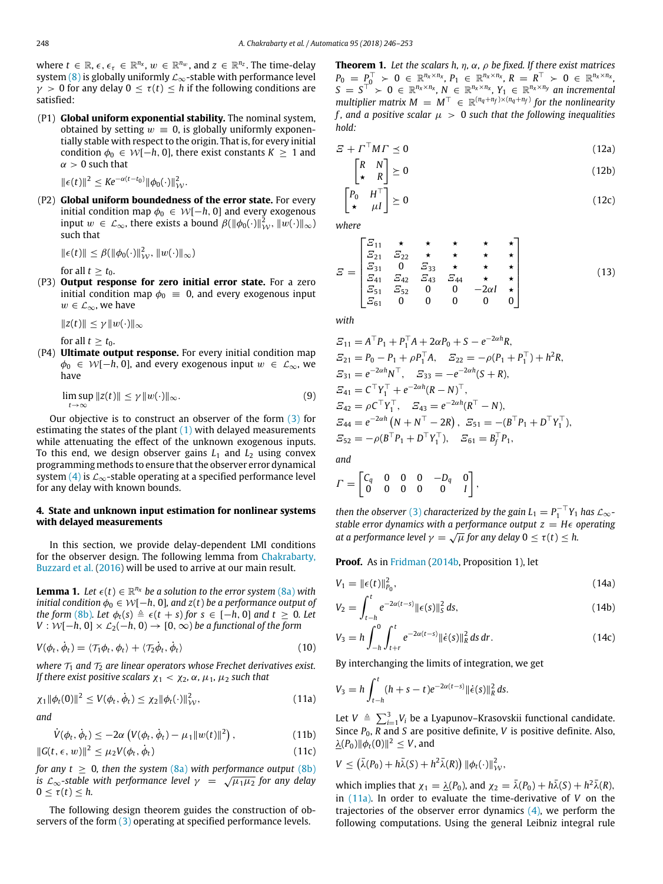where  $t \in \mathbb{R}$ ,  $\epsilon$ ,  $\epsilon$ <sub>τ</sub>  $\in \mathbb{R}^{n_x}$ ,  $w \in \mathbb{R}^{n_w}$ , and  $z \in \mathbb{R}^{n_z}$ . The time-delay system [\(8\)](#page-1-1) is globally uniformly  $\mathcal{L}_{\infty}$ -stable with performance level  $\gamma > 0$  for any delay  $0 \leq \tau(t) \leq h$  if the following conditions are satisfied:

(P1) **Global uniform exponential stability.** The nominal system, obtained by setting  $w \equiv 0$ , is globally uniformly exponentially stable with respect to the origin. That is, for every initial condition  $\phi_0 \in W[-h, 0]$ , there exist constants  $K \geq 1$  and  $\alpha > 0$  such that

 $\|\epsilon(t)\|^2 \leq Ke^{-\alpha(t-t_0)} \|\phi_0(\cdot)\|^2_{\mathcal{W}}.$ 

(P2) **Global uniform boundedness of the error state.** For every initial condition map  $\phi_0 \in W[-h, 0]$  and every exogenous input  $w \in \mathcal{L}_{\infty}$ , there exists a bound  $\beta(\|\phi_0(\cdot)\|_{\mathcal{W}}^2, \|w(\cdot)\|_{\infty})$ such that

$$
\|\epsilon(t)\| \leq \beta(\|\phi_0(\cdot)\|_{\mathcal{W}}^2, \|w(\cdot)\|_{\infty})
$$

for all  $t \geq t_0$ .

(P3) **Output response for zero initial error state.** For a zero initial condition map  $\phi_0 = 0$ , and every exogenous input  $w \in \mathcal{L}_{\infty}$ , we have

∥*z*(*t*)∥ ≤ γ ∥w(·)∥<sup>∞</sup>

for all  $t > t_0$ .

(P4) **Ultimate output response.** For every initial condition map  $\phi_0 \in W[-h, 0]$ , and every exogenous input  $w \in \mathcal{L}_{\infty}$ , we have

$$
\limsup_{t \to \infty} \|z(t)\| \le \gamma \|w(\cdot)\|_{\infty}.
$$
 (9)

Our objective is to construct an observer of the form [\(3\)](#page-1-2) for estimating the states of the plant  $(1)$  with delayed measurements while attenuating the effect of the unknown exogenous inputs. To this end, we design observer gains  $L_1$  and  $L_2$  using convex programming methods to ensure that the observer error dynamical system [\(4\)](#page-1-3) is  $\mathcal{L}_{\infty}$ -stable operating at a specified performance level for any delay with known bounds.

#### **4. State and unknown input estimation for nonlinear systems with delayed measurements**

In this section, we provide delay-dependent LMI conditions for the observer design. The following lemma from [Chakrabarty,](#page-7-20) [Buzzard](#page-7-20) [et](#page-7-20) [al.](#page-7-20) [\(2016\)](#page-7-20) will be used to arrive at our main result.

<span id="page-2-4"></span>**Lemma 1.** Let  $\epsilon(t) \in \mathbb{R}^{n_x}$  be a solution to the error system  $(8a)$  with *initial condition*  $\phi_0 \in W[-h, 0]$ *, and z(t) be a performance output of the form* [\(8b\)](#page-1-4)*. Let*  $\phi_t(s) \triangleq \epsilon(t+s)$  *for*  $s \in [-h, 0]$  *and*  $t \geq 0$ *. Let V* :  $W$ [−*h*, 0] ×  $\mathcal{L}_2$ (−*h*, 0) → [0, ∞) *be a functional of the form* 

$$
V(\phi_t, \dot{\phi}_t) = \langle \mathcal{T}_1 \phi_t, \phi_t \rangle + \langle \mathcal{T}_2 \dot{\phi}_t, \dot{\phi}_t \rangle \tag{10}
$$

*where*  $\mathcal{T}_1$  *and*  $\mathcal{T}_2$  *are linear operators whose Frechet derivatives exist. If there exist positive scalars*  $\chi_1 < \chi_2$ ,  $\alpha$ ,  $\mu_1$ ,  $\mu_2$  *such that* 

<span id="page-2-0"></span>
$$
\chi_1 \|\phi_t(0)\|^2 \le V(\phi_t, \dot{\phi}_t) \le \chi_2 \|\phi_t(\cdot)\|^2_{\mathcal{W}},\tag{11a}
$$

*and*

*<sup>V</sup>*˙ (φ*t*, φ˙

$$
(\phi_t, \dot{\phi}_t) \leq -2\alpha \left( V(\phi_t, \dot{\phi}_t) - \mu_1 \|w(t)\|^2 \right), \tag{11b}
$$

$$
||G(t, \epsilon, w)||^2 \le \mu_2 V(\phi_t, \dot{\phi}_t)
$$
\n(11c)

*for any t*  $\geq$  0*, then the system* [\(8a\)](#page-1-1) *with performance output* [\(8b\)](#page-1-4) *for any t ≥ 0, then the system (8a) with performance output (8b)*<br>is L<sub>∞</sub>-stable with performance level γ =  $\sqrt{\mu_1\mu_2}$  for any delay  $0 \leq \tau(t) \leq h$ .

The following design theorem guides the construction of ob-servers of the form [\(3\)](#page-1-2) operating at specified performance levels.

<span id="page-2-7"></span>**Theorem 1.** *Let the scalars h,* η*,* α*,* ρ *be fixed. If there exist matrices*  $P_0 = P_0^{\top} > 0 \in \mathbb{R}^{n_x \times n_x}, P_1 \in \mathbb{R}^{n_x \times n_x}, R = R^{\top} > 0 \in \mathbb{R}^{n_x \times n_x},$  $S = S^{\top} > 0 \in \mathbb{R}^{n_x \times n_x}, N \in \mathbb{R}^{n_x \times n_x}, Y_1 \in \mathbb{R}^{n_x \times n_y}$  an incremental  $multiplier$  matrix  $M = M^{\top} \in \mathbb{R}^{(n_q + n_f) \times (n_q + n_f)}$  for the nonlinearity *f*, and a positive scalar  $\mu > 0$  such that the following inequalities *hold:*

<span id="page-2-5"></span><span id="page-2-2"></span>
$$
\mathbf{E} + \boldsymbol{\varGamma}^{\top} \boldsymbol{M} \boldsymbol{\varGamma} \preceq \mathbf{0} \tag{12a}
$$

<span id="page-2-1"></span>
$$
\begin{bmatrix} R & N \\ \star & R \end{bmatrix} \succeq 0 \tag{12b}
$$

<span id="page-2-3"></span>
$$
\begin{bmatrix} P_0 & H^{\top} \\ \star & \mu I \end{bmatrix} \succeq 0 \tag{12c}
$$

*where*

<span id="page-2-6"></span>
$$
E = \begin{bmatrix} E_{11} & \star & \star & \star & \star & \star \\ E_{21} & E_{22} & \star & \star & \star & \star \\ E_{31} & 0 & E_{33} & \star & \star & \star \\ E_{41} & E_{42} & E_{43} & E_{44} & \star & \star \\ E_{51} & E_{52} & 0 & 0 & -2\alpha I & \star \\ E_{61} & 0 & 0 & 0 & 0 & 0 \end{bmatrix}
$$
(13)

*with*

$$
E_{11} = A^{\top} P_1 + P_1^{\top} A + 2\alpha P_0 + S - e^{-2\alpha h} R,
$$
  
\n
$$
E_{21} = P_0 - P_1 + \rho P_1^{\top} A, \quad E_{22} = -\rho (P_1 + P_1^{\top}) + h^2 R,
$$
  
\n
$$
E_{31} = e^{-2\alpha h} N^{\top}, \quad E_{33} = -e^{-2\alpha h} (S + R),
$$
  
\n
$$
E_{41} = C^{\top} Y_1^{\top} + e^{-2\alpha h} (R - N)^{\top},
$$
  
\n
$$
E_{42} = \rho C^{\top} Y_1^{\top}, \quad E_{43} = e^{-2\alpha h} (R^{\top} - N),
$$
  
\n
$$
E_{44} = e^{-2\alpha h} (N + N^{\top} - 2R), \quad E_{51} = -(B^{\top} P_1 + D^{\top} Y_1^{\top}),
$$
  
\n
$$
E_{52} = -\rho (B^{\top} P_1 + D^{\top} Y_1^{\top}), \quad E_{61} = B_f^{\top} P_1,
$$

*and*

$$
\Gamma = \begin{bmatrix} C_q & 0 & 0 & 0 & -D_q & 0 \\ 0 & 0 & 0 & 0 & 0 & I \end{bmatrix},
$$

*then the observer* [\(3\)](#page-1-2) *characterized by the gain*  $L_1 = P_1^{-\top} Y_1$  *has*  $\mathcal{L}_{\infty}$ *stable error dynamics with a performance output*  $z = H\epsilon$  *operating at a performance level*  $\gamma = \sqrt{\mu}$  *for any delay*  $0 \le \tau(t) \le h$ .

**Proof.** As in [Fridman](#page-7-24) [\(2014b,](#page-7-24) Proposition 1), let

$$
V_1 = ||\epsilon(t)||_{P_0}^2, \tag{14a}
$$

$$
V_2 = \int_{t-h}^{t} e^{-2\alpha(t-s)} \|\epsilon(s)\|_{S}^{2} ds,
$$
\n(14b)

$$
V_3 = h \int_{-h}^{0} \int_{t+r}^{t} e^{-2\alpha(t-s)} ||\dot{\epsilon}(s)||_R^2 ds dr.
$$
 (14c)

By interchanging the limits of integration, we get

$$
V_3 = h \int_{t-h}^t (h+s-t)e^{-2\alpha(t-s)} \|\dot{\epsilon}(s)\|_R^2 ds.
$$

Let *V*  $\triangleq$   $\sum_{i=1}^{3} V_i$  be a Lyapunov–Krasovskii functional candidate. Since *P*0, *R* and *S* are positive definite, *V* is positive definite. Also,  $\frac{\lambda(P_0) \|\phi_t(0)\|^2 \leq V}$ , and

$$
V \leq (\bar{\lambda}(P_0) + h\bar{\lambda}(S) + h^2\bar{\lambda}(R)) \|\phi_t(\cdot)\|_{\mathcal{W}}^2,
$$

which implies that  $\chi_1 = \underline{\lambda}(P_0)$ , and  $\chi_2 = \overline{\lambda}(P_0) + h\overline{\lambda}(S) + h^2\overline{\lambda}(R)$ , in [\(11a\).](#page-2-0) In order to evaluate the time-derivative of *V* on the trajectories of the observer error dynamics  $(4)$ , we perform the following computations. Using the general Leibniz integral rule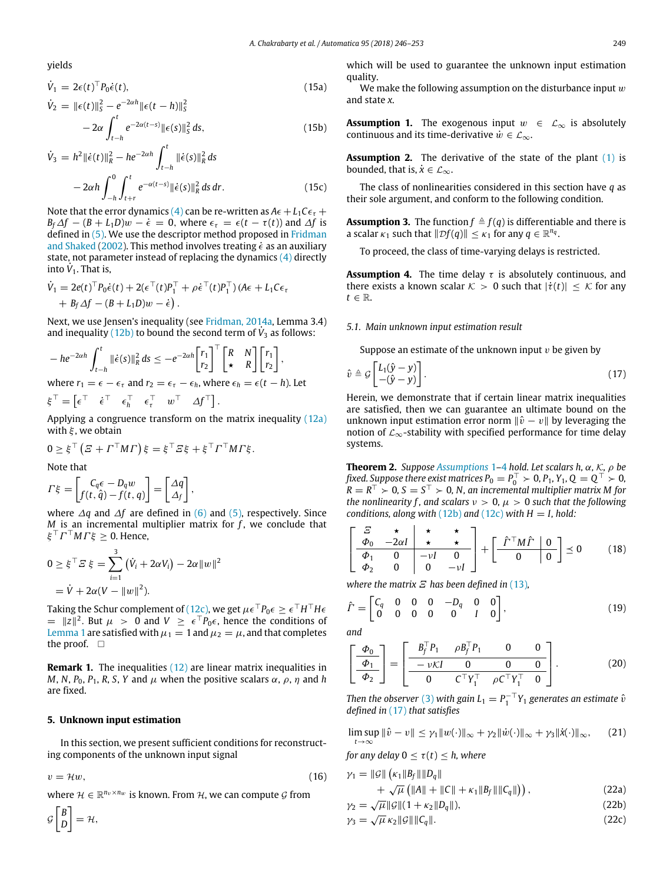yields

$$
\dot{V}_1 = 2\epsilon(t)^{\top} P_0 \dot{\epsilon}(t), \qquad (15a)
$$

$$
\dot{V}_2 = \|\epsilon(t)\|_{S}^{2} - e^{-2\alpha h} \|\epsilon(t - h)\|_{S}^{2}
$$
  
- 2\alpha \int\_{t-h}^{t} e^{-2\alpha(t-s)} \|\epsilon(s)\|\_{S}^{2} ds, (15b)

$$
\dot{V}_3 = h^2 \|\dot{\epsilon}(t)\|_{\dot{R}}^2 - h e^{-2\alpha h} \int_{t-h}^t \|\dot{\epsilon}(s)\|_{\dot{R}}^2 ds
$$
  

$$
-2\alpha h \int_{-h}^0 \int_{t+r}^t e^{-\alpha(t-s)} \|\dot{\epsilon}(s)\|_{\dot{R}}^2 ds dr.
$$
 (15c)

Note that the error dynamics [\(4\)](#page-1-3) can be re-written as  $A\epsilon + L_1C\epsilon_t +$  $B_f \Delta f - (B + L_1 D)w - \dot{\epsilon} = 0$ , where  $\epsilon_{\tau} = \epsilon (t - \tau(t))$  and  $\Delta f$  is defined in [\(5\).](#page-1-5) We use the descriptor method proposed in [Fridman](#page-7-25) [and](#page-7-25) [Shaked](#page-7-25) [\(2002\)](#page-7-25). This method involves treating  $\dot{\epsilon}$  as an auxiliary state, not parameter instead of replacing the dynamics  $(4)$  directly into  $\dot{V}_1$ . That is,

$$
\dot{V}_1 = 2e(t)^{\top} P_0 \dot{\epsilon}(t) + 2(\epsilon^{\top}(t)P_1^{\top} + \rho \dot{\epsilon}^{\top}(t)P_1^{\top}) (A\epsilon + L_1 C \epsilon_{\tau} + B_f \Delta f - (B + L_1 D)w - \dot{\epsilon}).
$$

Next, we use Jensen's inequality (see [Fridman,](#page-7-26) [2014a,](#page-7-26) Lemma 3.4) and inequality  $(12b)$  to bound the second term of  $\dot{V}_3$  as follows:

$$
- he^{-2\alpha h} \int_{t-h}^{t} ||\dot{\epsilon}(s)||_{R}^{2} ds \le -e^{-2\alpha h} \begin{bmatrix} r_{1} \\ r_{2} \end{bmatrix}^{\top} \begin{bmatrix} R & N \\ \star & R \end{bmatrix} \begin{bmatrix} r_{1} \\ r_{2} \end{bmatrix},
$$
  
where  $r_{1} = \epsilon - \epsilon_{\tau}$  and  $r_{2} = \epsilon_{\tau} - \epsilon_{h}$ , where  $\epsilon_{h} = \epsilon(t-h)$ . Let  
 $\xi^{\top} = [\epsilon^{\top} \quad \dot{\epsilon}^{\top} \quad \epsilon_{h}^{\top} \quad \epsilon_{\tau}^{\top} \quad w^{\top} \quad \Delta f^{\top}].$ 

Applying a congruence transform on the matrix inequality [\(12a\)](#page-2-2) with  $\xi$ , we obtain

$$
0 \geq \xi^{\top} \left( \mathbf{\Sigma} + \mathbf{\Gamma}^{\top} \mathbf{M} \mathbf{\Gamma} \right) \xi = \xi^{\top} \mathbf{\Sigma} \xi + \xi^{\top} \mathbf{\Gamma}^{\top} \mathbf{M} \mathbf{\Gamma} \xi.
$$

Note that

$$
\Gamma \xi = \begin{bmatrix} C_q \epsilon - D_q w \\ f(t, \hat{q}) - f(t, q) \end{bmatrix} = \begin{bmatrix} \Delta q \\ \Delta_f \end{bmatrix},
$$

where ∆*q* and ∆*f* are defined in [\(6\)](#page-1-6) and [\(5\),](#page-1-5) respectively. Since *M* is an incremental multiplier matrix for *f*, we conclude that  $\xi^\top \varGamma^\top M \varGamma \xi \geq 0$ . Hence,

$$
0 \ge \xi^\top \varXi \xi = \sum_{i=1}^3 (\dot{V}_i + 2\alpha V_i) - 2\alpha \|w\|^2
$$
  
=  $\dot{V} + 2\alpha (V - \|w\|^2).$ 

Taking the Schur complement of [\(12c\),](#page-2-3) we get  $\mu\epsilon^\top P_0\epsilon\geq \epsilon^\top H^\top H\epsilon$  $=$   $||z||^2$ . But  $\mu > 0$  and  $V \geq \epsilon^T P_0 \epsilon$ , hence the conditions of [Lemma 1](#page-2-4) are satisfied with  $\mu_1 = 1$  and  $\mu_2 = \mu$ , and that completes the proof.  $\square$ 

**Remark 1.** The inequalities [\(12\)](#page-2-5) are linear matrix inequalities in *M*, *N*, *P*<sub>0</sub>, *P*<sub>1</sub>, *R*, *S*, *Y* and  $\mu$  when the positive scalars  $\alpha$ ,  $\rho$ ,  $\eta$  and *h* are fixed.

#### **5. Unknown input estimation**

 $G \bigg[ \begin{array}{c} B \\ C \end{array}$ *D*  $\Big] = \mathcal{H},$ 

In this section, we present sufficient conditions for reconstructing components of the unknown input signal

 $v = \mathcal{H}w,$  (16)

where  $\mathcal{H} \in \mathbb{R}^{n_v \times n_w}$  is known. From  $\mathcal{H}$ , we can compute  $\mathcal{G}$  from

which will be used to guarantee the unknown input estimation quality.

We make the following assumption on the disturbance input  $w$ and state *x*.

<span id="page-3-0"></span>**Assumption 1.** The exogenous input  $w \in \mathcal{L}_{\infty}$  is absolutely continuous and its time-derivative  $\dot{w} \in \mathcal{L}_{\infty}$ .

<span id="page-3-5"></span>**Assumption 2.** The derivative of the state of the plant [\(1\)](#page-1-0) is bounded, that is,  $\dot{x} \in \mathcal{L}_{\infty}$ .

The class of nonlinearities considered in this section have *q* as their sole argument, and conform to the following condition.

<span id="page-3-4"></span>**Assumption 3.** The function  $f \triangleq f(q)$  is differentiable and there is a scalar  $\kappa_1$  such that  $||Df(q)|| \leq \kappa_1$  for any  $q \in \mathbb{R}^{n_q}$ .

To proceed, the class of time-varying delays is restricted.

<span id="page-3-1"></span>**Assumption 4.** The time delay  $\tau$  is absolutely continuous, and there exists a known scalar  $K > 0$  such that  $|\dot{\tau}(t)| < K$  for any  $t \in \mathbb{R}$ .

#### *5.1. Main unknown input estimation result*

Suppose an estimate of the unknown input  $v$  be given by

<span id="page-3-2"></span>
$$
\hat{v} \triangleq \mathcal{G} \begin{bmatrix} L_1(\hat{y} - y) \\ -(\hat{y} - y) \end{bmatrix} . \tag{17}
$$

Herein, we demonstrate that if certain linear matrix inequalities are satisfied, then we can guarantee an ultimate bound on the unknown input estimation error norm  $\|\hat{v} - v\|$  by leveraging the notion of  $\mathcal{L}_{\infty}$ -stability with specified performance for time delay systems.

<span id="page-3-8"></span>**Theorem 2.** *Suppose [Assumptions](#page-3-0)* 1*–*[4](#page-3-1) *hold. Let scalars h,* α*,* K*,* ρ *be fixed. Suppose there exist matrices*  $P_0 = P_0^\top \succ 0$ *,*  $P_1$ *,*  $Y_1$ *,*  $Q = Q^\top \succ 0$ *,*  $AR = R^\top \succ 0, S = S^\top \succ 0, N,$  an incremental multiplier matrix M for *the nonlinearity f, and scalars*  $v > 0$ ,  $\mu > 0$  *such that the following conditions, along with* [\(12b\)](#page-2-1) *and* [\(12c\)](#page-2-3) *with*  $H = I$ , *hold:* 

<span id="page-3-3"></span>
$$
\begin{bmatrix}\n\frac{E}{\phi_0} & \star & \star & \star \\
\frac{\phi_0}{\phi_1} & 0 & -\nu I & 0 \\
\phi_2 & 0 & 0 & -\nu I\n\end{bmatrix} + \begin{bmatrix}\n\hat{\Gamma}^\top M \hat{\Gamma} & 0 \\
0 & 0\n\end{bmatrix} \preceq 0
$$
\n(18)

*where the matrix* Ξ *has been defined in* [\(13\)](#page-2-6)*,*

<span id="page-3-9"></span>
$$
\hat{\Gamma} = \begin{bmatrix} C_q & 0 & 0 & 0 & -D_q & 0 & 0 \\ 0 & 0 & 0 & 0 & 0 & 1 & 0 \end{bmatrix},
$$
\n(19)

*and*

<span id="page-3-6"></span>
$$
\left[\begin{array}{c}\n\Phi_0 \\
\hline\n\Phi_1 \\
\hline\n\Phi_2\n\end{array}\right] = \left[\begin{array}{ccc}\nB_f^\top P_1 & \rho B_f^\top P_1 & 0 & 0 \\
\hline\n-\nu K I & 0 & 0 & 0 \\
\hline\n0 & C^\top Y_1^\top & \rho C^\top Y_1^\top & 0\n\end{array}\right].
$$
\n(20)

*Then the observer* [\(3\)](#page-1-2) *with gain*  $L_1 = P_1^{-T}Y_1$  *generates an estimate*  $\hat{v}$ *defined in* [\(17\)](#page-3-2) *that satisfies*

<span id="page-3-7"></span> $\limsup \| \hat{v} - v \| \leq \gamma_1 \| w(\cdot) \|_{\infty} + \gamma_2 \| \dot{w}(\cdot) \|_{\infty} + \gamma_3 \| \dot{x}(\cdot) \|_{\infty},$  (21) *t*→∞

*for any delay*  $0 \leq \tau(t) \leq h$ *, where* 

<span id="page-3-10"></span>
$$
\gamma_1 = \|\mathcal{G}\| \left( \kappa_1 \|B_f\| \|D_q\| + \sqrt{\mu} \left( \|A\| + \|C\| + \kappa_1 \|B_f\| \|C_q\| \right) \right),
$$
\n(22a)

$$
\gamma_2 = \sqrt{\mu} \|g\| (1 + \kappa_2 \|D_q\|),
$$
\n(22b)\n(22b)

$$
\gamma_3 = \sqrt{\mu} \, \kappa_2 \|\mathcal{G}\| \|\mathcal{C}_q\|.\tag{22c}
$$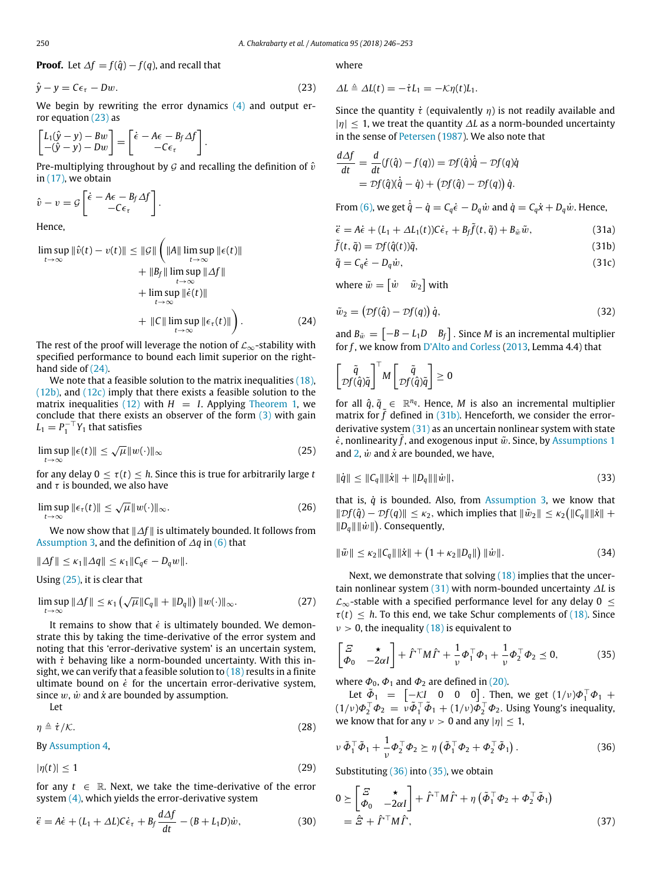**Proof.** Let  $\Delta f = f(\hat{q}) - f(q)$ , and recall that

<span id="page-4-0"></span> $\hat{y} - y = C\epsilon_{\tau} - Dw.$  (23)

We begin by rewriting the error dynamics [\(4\)](#page-1-3) and output error equation [\(23\)](#page-4-0) as

$$
\begin{bmatrix} L_1(\hat{y} - y) - Bw \\ -(\hat{y} - y) - Dw \end{bmatrix} = \begin{bmatrix} \dot{\epsilon} - A\epsilon - B_f \Delta f \\ -C\epsilon_\tau \end{bmatrix}.
$$

Pre-multiplying throughout by  $G$  and recalling the definition of  $\hat{v}$ in [\(17\),](#page-3-2) we obtain

$$
\hat{v} - v = \mathcal{G} \left[ \frac{\dot{\epsilon} - A\epsilon - B_f \Delta f}{-C\epsilon_\tau} \right].
$$

Hence,

<span id="page-4-1"></span>
$$
\limsup_{t \to \infty} \|\hat{v}(t) - v(t)\| \le \|\mathcal{G}\| \left( \|A\| \limsup_{t \to \infty} \|\epsilon(t)\| + \|B_f\| \limsup_{t \to \infty} \|A f\| + \limsup_{t \to \infty} \|\dot{\epsilon}(t)\| + \limsup_{t \to \infty} \|\dot{\epsilon}(t)\| + \|C\| \limsup_{t \to \infty} \|\epsilon_{\tau}(t)\|\right).
$$
\n(24)

The rest of the proof will leverage the notion of  $\mathcal{L}_{\infty}$ -stability with specified performance to bound each limit superior on the righthand side of [\(24\).](#page-4-1)

We note that a feasible solution to the matrix inequalities (18).  $(12b)$ , and  $(12c)$  imply that there exists a feasible solution to the matrix inequalities [\(12\)](#page-2-5) with  $H = I$ . Applying [Theorem 1,](#page-2-7) we conclude that there exists an observer of the form  $(3)$  with gain  $L_1 = P_1^{-\top} Y_1$  that satisfies

<span id="page-4-2"></span>
$$
\limsup_{t \to \infty} \|\epsilon(t)\| \le \sqrt{\mu} \|w(\cdot)\|_{\infty}
$$
\n(25)

for any delay  $0 < \tau(t) < h$ . Since this is true for arbitrarily large *t* and  $\tau$  is bounded, we also have

<span id="page-4-8"></span>
$$
\limsup_{t\to\infty} \|\epsilon_{\tau}(t)\| \le \sqrt{\mu} \|w(\cdot)\|_{\infty}.
$$
 (26)

We now show that ∥∆*f* ∥ is ultimately bounded. It follows from [Assumption 3,](#page-3-4) and the definition of ∆*q* in [\(6\)](#page-1-6) that

$$
\|\Delta f\| \leq \kappa_1 \|\Delta q\| \leq \kappa_1 \|\mathcal{C}_q \epsilon - D_q w\|.
$$

Using [\(25\),](#page-4-2) it is clear that

<span id="page-4-9"></span>
$$
\limsup_{t\to\infty}||\Delta f|| \leq \kappa_1 \left(\sqrt{\mu}||C_q|| + ||D_q||\right)||w(\cdot)||_{\infty}.
$$
 (27)

It remains to show that  $\dot{\epsilon}$  is ultimately bounded. We demonstrate this by taking the time-derivative of the error system and noting that this 'error-derivative system' is an uncertain system, with  $\dot{\tau}$  behaving like a norm-bounded uncertainty. With this insight, we can verify that a feasible solution to  $(18)$  results in a finite ultimate bound on  $\dot{\epsilon}$  for the uncertain error-derivative system, since  $w$ ,  $\dot{w}$  and  $\dot{x}$  are bounded by assumption.

Let

<span id="page-4-11"></span>
$$
\eta \triangleq \dot{\tau}/\mathcal{K}.\tag{28}
$$

By [Assumption 4,](#page-3-1)

<span id="page-4-12"></span>
$$
|\eta(t)| \le 1\tag{29}
$$

for any  $t \in \mathbb{R}$ . Next, we take the time-derivative of the error system  $(4)$ , which yields the error-derivative system

<span id="page-4-10"></span>
$$
\ddot{\epsilon} = A\dot{\epsilon} + (L_1 + \Delta L)\dot{\epsilon}_\tau + B_f \frac{d\Delta f}{dt} - (B + L_1 D)\dot{w},\tag{30}
$$

where

$$
\Delta L \triangleq \Delta L(t) = -\dot{\tau}L_1 = -\mathcal{K}\eta(t)L_1.
$$

Since the quantity  $\dot{\tau}$  (equivalently  $\eta$ ) is not readily available and |η| ≤ 1, we treat the quantity ∆*L* as a norm-bounded uncertainty in the sense of [Petersen](#page-7-27) [\(1987\)](#page-7-27). We also note that

$$
\frac{d\Delta f}{dt} = \frac{d}{dt}(f(\hat{q}) - f(q)) = \mathcal{D}f(\hat{q})\dot{\hat{q}} - \mathcal{D}f(q)\dot{q} \n= \mathcal{D}f(\hat{q})(\dot{\hat{q}} - \dot{q}) + (\mathcal{D}f(\hat{q}) - \mathcal{D}f(q))\dot{q}.
$$

From [\(6\),](#page-1-6) we get  $\dot{\hat{q}} - \dot{q} = C_q \dot{\epsilon} - D_q \dot{w}$  and  $\dot{q} = C_q \dot{x} + D_q \dot{w}$ . Hence,

<span id="page-4-4"></span>
$$
\ddot{\epsilon} = A\dot{\epsilon} + (L_1 + \Delta L_1(t))C\dot{\epsilon}_\tau + B_f\tilde{f}(t, \tilde{q}) + B_{\tilde{w}}\tilde{w},\tag{31a}
$$

<span id="page-4-3"></span>
$$
\tilde{f}(t, \tilde{q}) = \mathcal{D}f(\hat{q}(t))\tilde{q},\tag{31b}
$$

$$
\tilde{q} = C_q \dot{\epsilon} - D_q \dot{w},\tag{31c}
$$

where  $\tilde{w} = \begin{bmatrix} \dot{w} & \tilde{w}_2 \end{bmatrix}$  with

$$
\tilde{w}_2 = (Df(\hat{q}) - Df(q))\,\dot{q},\tag{32}
$$

and  $B_{\tilde{w}} = \begin{bmatrix} -B - L_1 D & B_f \end{bmatrix}$ . Since *M* is an incremental multiplier for *f* , we know from [D'Alto](#page-7-28) [and](#page-7-28) [Corless](#page-7-28) [\(2013,](#page-7-28) Lemma 4.4) that

$$
\begin{bmatrix} \tilde{q} \\ \mathcal{D}f(\hat{q})\tilde{q} \end{bmatrix}^\top M \begin{bmatrix} \tilde{q} \\ \mathcal{D}f(\hat{q})\tilde{q} \end{bmatrix} \geq 0
$$

for all  $\hat{q}$ ,  $\tilde{q}$   $\in \mathbb{R}^{n_q}$ . Hence, *M* is also an incremental multiplier matrix for  $\tilde{f}$  defined in [\(31b\).](#page-4-3) Henceforth, we consider the errorderivative system  $(31)$  as an uncertain nonlinear system with state  $\dot{\epsilon}$ , nonlinearity f, and exogenous input  $\tilde{w}$ . Since, by [Assumptions 1](#page-3-0) and  $2, \dot{w}$  $2, \dot{w}$  and  $\dot{x}$  are bounded, we have,

$$
\|\dot{q}\| \le \|C_q\| \|\dot{x}\| + \|D_q\| \|\dot{w}\|,\tag{33}
$$

that is, *q*˙ is bounded. Also, from [Assumption 3,](#page-3-4) we know that  $||Df(\hat{q}) - Df(q)|| \leq \kappa_2$ , which implies that  $||\tilde{w}_2|| \leq \kappa_2 (||C_q|| ||\dot{x}|| +$  $||D_q|| ||\dot{w}||$ ). Consequently,

$$
\|\tilde{w}\| \le \kappa_2 \|C_q\| \|\dot{x}\| + \left(1 + \kappa_2 \|D_q\|\right) \|\dot{w}\|.
$$
 (34)

Next, we demonstrate that solving  $(18)$  implies that the uncertain nonlinear system [\(31\)](#page-4-4) with norm-bounded uncertainty ∆*L* is  $\mathcal{L}_{\infty}$ -stable with a specified performance level for any delay 0  $\leq$  $\tau(t) \leq h$ . To this end, we take Schur complements of [\(18\).](#page-3-3) Since  $v > 0$ , the inequality [\(18\)](#page-3-3) is equivalent to

<span id="page-4-6"></span>
$$
\begin{bmatrix} \mathcal{Z} & \star \\ \boldsymbol{\Phi}_0 & -2\alpha I \end{bmatrix} + \hat{\boldsymbol{\Gamma}}^\top \boldsymbol{M} \hat{\boldsymbol{\Gamma}} + \frac{1}{\nu} \boldsymbol{\Phi}_1^\top \boldsymbol{\Phi}_1 + \frac{1}{\nu} \boldsymbol{\Phi}_2^\top \boldsymbol{\Phi}_2 \preceq 0,\tag{35}
$$

where  $\Phi_0$ ,  $\Phi_1$  and  $\Phi_2$  are defined in [\(20\).](#page-3-6)

Let  $\tilde{\Phi}_1$  =  $\begin{bmatrix} -\mathcal{K}I & 0 & 0 & 0 \end{bmatrix}$ . Then, we get  $(1/\nu)\Phi_1^\top\Phi_1$  +  $(1/\nu)\Phi_2^\top\Phi_2 = \nu \tilde{\Phi}_1^\top \tilde{\Phi}_1 + (1/\nu)\Phi_2^\top \Phi_2$ . Using Young's inequality, we know that for any  $v > 0$  and any  $|\eta| \leq 1$ ,

<span id="page-4-5"></span>
$$
\nu \, \tilde{\Phi}_1^\top \tilde{\Phi}_1 + \frac{1}{\nu} \Phi_2^\top \Phi_2 \succeq \eta \left( \tilde{\Phi}_1^\top \Phi_2 + \Phi_2^\top \tilde{\Phi}_1 \right). \tag{36}
$$

Substituting [\(36\)](#page-4-5) into [\(35\),](#page-4-6) we obtain

<span id="page-4-7"></span>
$$
0 \geq \begin{bmatrix} \Xi & \star \\ \Phi_0 & -2\alpha I \end{bmatrix} + \hat{\Gamma}^\top M \hat{\Gamma} + \eta \left( \tilde{\Phi}_1^\top \Phi_2 + \Phi_2^\top \tilde{\Phi}_1 \right)
$$
  
=  $\hat{\Xi} + \hat{\Gamma}^\top M \hat{\Gamma},$  (37)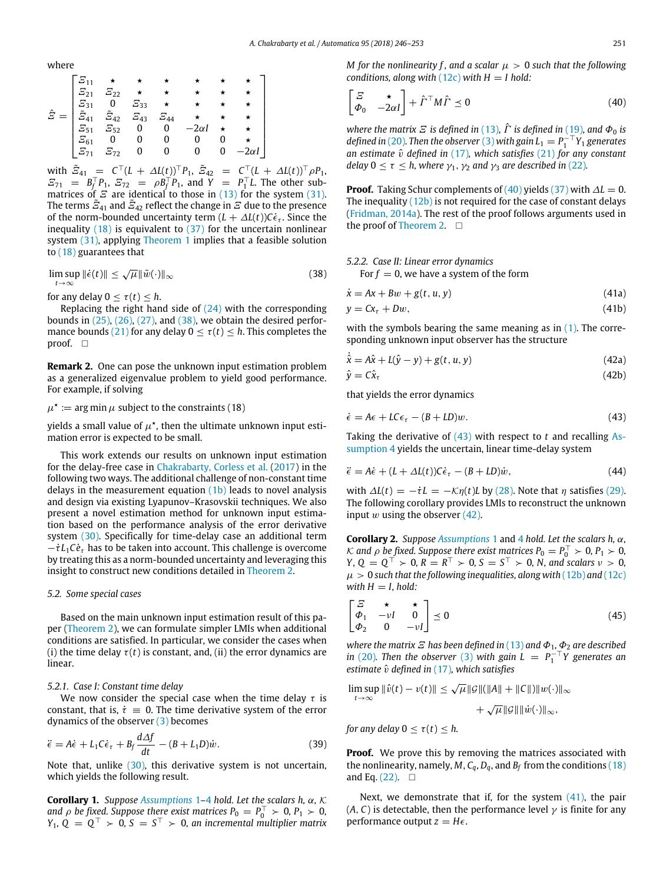where

$$
\hat{E} = \begin{bmatrix}\n\overline{E}_{11} & \star & \star & \star & \star & \star & \star & \star \\
\overline{E}_{21} & \overline{E}_{22} & \star & \star & \star & \star & \star & \star \\
\overline{E}_{31} & 0 & \overline{E}_{33} & \star & \star & \star & \star & \star \\
\overline{E}_{41} & \overline{E}_{42} & \overline{E}_{43} & \overline{E}_{44} & \star & \star & \star & \star \\
\overline{E}_{51} & \overline{E}_{52} & 0 & 0 & -2\alpha I & \star & \star \\
\overline{E}_{61} & 0 & 0 & 0 & 0 & 0 & \star \\
\overline{E}_{71} & \overline{E}_{72} & 0 & 0 & 0 & 0 & -2\alpha I\n\end{bmatrix}
$$

with  $\tilde{E}_{41} = C^{\top} (L + \Delta L(t))^{\top} P_1$ ,  $\tilde{E}_{42} = C^{\top} (L + \Delta L(t))^{\top} \rho P_1$ ,  $E_{71} = B_1^{\top} P_1, E_{72} = \rho B_1^{\top} P_1$ , and  $Y = P_1^{\top} L$ . The other submatrices of  $\mathcal E$  are identical to those in [\(13\)](#page-2-6) for the system [\(31\).](#page-4-4) The terms  $\tilde{\varXi}_{41}$  and  $\tilde{\varXi}_{42}$  reflect the change in  $\tilde{\varXi}$  due to the presence of the norm-bounded uncertainty term  $(L + \Delta L(t))C\dot{\epsilon}_t$ . Since the inequality  $(18)$  is equivalent to  $(37)$  for the uncertain nonlinear system [\(31\),](#page-4-4) applying [Theorem 1](#page-2-7) implies that a feasible solution to [\(18\)](#page-3-3) guarantees that

<span id="page-5-0"></span>
$$
\limsup_{t \to \infty} \|\dot{\epsilon}(t)\| \le \sqrt{\mu} \|\tilde{w}(\cdot)\|_{\infty} \tag{38}
$$

for any delay  $0 < \tau(t) < h$ .

Replacing the right hand side of  $(24)$  with the corresponding bounds in  $(25)$ ,  $(26)$ ,  $(27)$ , and  $(38)$ , we obtain the desired perfor-mance bounds [\(21\)](#page-3-7) for any delay  $0 \leq \tau(t) \leq h$ . This completes the proof.  $\square$ 

**Remark 2.** One can pose the unknown input estimation problem as a generalized eigenvalue problem to yield good performance. For example, if solving

 $\mu^{\star} \coloneqq \argmin \mu$  subject to the constraints (18)

yields a small value of  $\mu^{\star}$ , then the ultimate unknown input estimation error is expected to be small.

This work extends our results on unknown input estimation for the delay-free case in [Chakrabarty,](#page-7-21) [Corless](#page-7-21) [et](#page-7-21) [al.](#page-7-21) [\(2017\)](#page-7-21) in the following two ways. The additional challenge of non-constant time delays in the measurement equation  $(1b)$  leads to novel analysis and design via existing Lyapunov–Krasovskii techniques. We also present a novel estimation method for unknown input estimation based on the performance analysis of the error derivative system [\(30\).](#page-4-10) Specifically for time-delay case an additional term  $-\dot{\tau}L_1C\dot{e}$ <sub>τ</sub> has to be taken into account. This challenge is overcome by treating this as a norm-bounded uncertainty and leveraging this insight to construct new conditions detailed in [Theorem 2.](#page-3-8)

#### *5.2. Some special cases*

Based on the main unknown input estimation result of this paper [\(Theorem 2\)](#page-3-8), we can formulate simpler LMIs when additional conditions are satisfied. In particular, we consider the cases when (i) the time delay  $\tau(t)$  is constant, and, (ii) the error dynamics are linear.

#### *5.2.1. Case I: Constant time delay*

We now consider the special case when the time delay  $\tau$  is constant, that is,  $\dot{\tau} = 0$ . The time derivative system of the error dynamics of the observer [\(3\)](#page-1-2) becomes

$$
\ddot{\epsilon} = A\dot{\epsilon} + L_1 C \dot{\epsilon}_\tau + B_f \frac{d\Delta f}{dt} - (B + L_1 D)\dot{w}.\tag{39}
$$

Note that, unlike [\(30\),](#page-4-10) this derivative system is not uncertain, which yields the following result.

**Corollary 1.** *Suppose [Assumptions](#page-3-0)* 1*–*[4](#page-3-1) *hold. Let the scalars h,* α*,* K *and*  $\rho$  *be fixed. Suppose there exist matrices*  $P_0 = P_0^\top \succ 0$ ,  $P_1 \succ 0$ ,  $Y_1, Q = Q^{\top} > 0, S = S^{\top} > 0$ , an incremental multiplier matrix

<span id="page-5-1"></span>
$$
\begin{bmatrix} \n\tilde{z} & \star \\ \n\Phi_0 & -2\alpha I \n\end{bmatrix} + \hat{\Gamma}^\top M \hat{\Gamma} \le 0 \tag{40}
$$

*where the matrix*  $\vec{E}$  *is defined in* [\(13\)](#page-2-6),  $\hat{\Gamma}$  *is defined in* [\(19\)](#page-3-9)*, and*  $\Phi_0$  *is defined in* [\(20\)](#page-3-6)*. Then the observer* [\(3\)](#page-1-2) *with gain*  $L_1 = P_1^{-\top}Y_1$  *generates an estimate*  $\hat{v}$  *defined in* [\(17\)](#page-3-2)*, which satisfies* [\(21\)](#page-3-7) *for any constant delay*  $0 \le \tau \le h$ , where  $\gamma_1$ ,  $\gamma_2$  *and*  $\gamma_3$  *are described in* [\(22\)](#page-3-10)*.* 

**Proof.** Taking Schur complements of  $(40)$  yields  $(37)$  with  $\Delta L = 0$ . The inequality  $(12b)$  is not required for the case of constant delays [\(Fridman,](#page-7-26) [2014a\)](#page-7-26). The rest of the proof follows arguments used in the proof of [Theorem 2.](#page-3-8)  $\square$ 

### *5.2.2. Case II: Linear error dynamics*

<span id="page-5-4"></span>For  $f = 0$ , we have a system of the form

$$
\dot{x} = Ax + Bw + g(t, u, y) \tag{41a}
$$

$$
y = Cx_{\tau} + Dw, \tag{41b}
$$

<span id="page-5-3"></span>with the symbols bearing the same meaning as in  $(1)$ . The corresponding unknown input observer has the structure

$$
\dot{\hat{x}} = A\hat{x} + L(\hat{y} - y) + g(t, u, y)
$$
\n(42a)

$$
\hat{y} = C\hat{x}_{\tau} \tag{42b}
$$

that yields the error dynamics

<span id="page-5-2"></span>
$$
\dot{\epsilon} = A\epsilon + LC\epsilon_{\tau} - (B + LD)w. \tag{43}
$$

[T](#page-3-1)aking the derivative of [\(43\)](#page-5-2) with respect to *t* and recalling [As](#page-3-1)[sumption 4](#page-3-1) yields the uncertain, linear time-delay system

$$
\ddot{\epsilon} = A\dot{\epsilon} + (L + \Delta L(t))C\dot{\epsilon}_{\tau} - (B + LD)\dot{w},\tag{44}
$$

with  $\Delta L(t) = -\dot{\tau}L = -\mathcal{K}\eta(t)L$  by [\(28\).](#page-4-11) Note that  $\eta$  satisfies [\(29\).](#page-4-12) The following corollary provides LMIs to reconstruct the unknown input  $w$  using the observer  $(42)$ .

**Corollary 2.** *Suppose [Assumptions](#page-3-0)* 1 and [4](#page-3-1) *hold. Let the scalars h,* α*,* K and  $\rho$  be fixed. Suppose there exist matrices  $P_0 = P_0^{\top} > 0$ ,  $P_1 > 0$ , *Y*,  $Q = Q^{\top} > 0$ ,  $R = R^{\top} > 0$ ,  $S = S^{\top} > 0$ , *N*, and scalars  $\nu > 0$ ,  $\mu > 0$  *such that the following inequalities, along with* [\(12b\)](#page-2-1) and [\(12c\)](#page-2-3) *with*  $H = I$ , *hold*:

$$
\begin{bmatrix} \mathcal{Z} & \star & \star \\ \varPhi_1 & -\nu I & 0 \\ \varPhi_2 & 0 & -\nu I \end{bmatrix} \preceq 0 \tag{45}
$$

*where the matrix*  $\mathbf{E}$  *has been defined in* [\(13\)](#page-2-6) *and*  $\Phi_1$ *,*  $\Phi_2$  *are described in* [\(20\)](#page-3-6). Then the observer [\(3\)](#page-1-2) with gain  $L = P_1^{-T}Y$  generates an *estimate*  $\hat{v}$  *defined in* [\(17\)](#page-3-2)*, which satisfies* 

$$
\limsup_{t \to \infty} \|\hat{v}(t) - v(t)\| \le \sqrt{\mu} \|\mathcal{G}\| (\|A\| + \|C\|) \|w(\cdot)\|_{\infty} + \sqrt{\mu} \|\mathcal{G}\| \|w(\cdot)\|_{\infty},
$$

*for any delay*  $0 \leq \tau(t) \leq h$ .

**Proof.** We prove this by removing the matrices associated with the nonlinearity, namely, *M*,  $C_q$ ,  $D_q$ , and  $B_f$  from the conditions [\(18\)](#page-3-3) and Eq.  $(22)$ .  $\square$ 

Next, we demonstrate that if, for the system  $(41)$ , the pair (*A*, *C*) is detectable, then the performance level  $\gamma$  is finite for any performance output  $z = H\epsilon$ .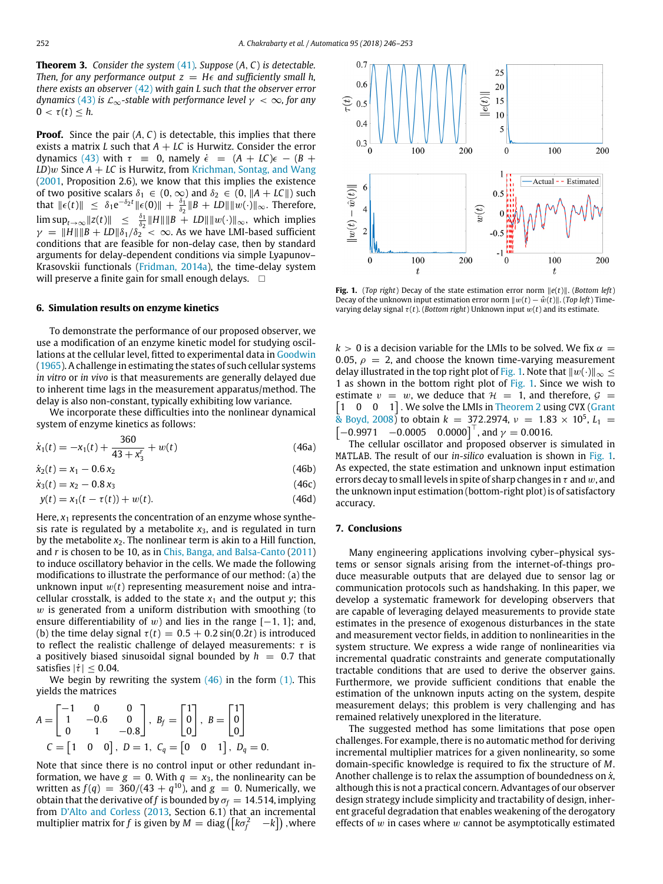**Theorem 3.** *Consider the system* [\(41\)](#page-5-4)*. Suppose* (*A*, *C*) *is detectable. Then, for any performance output*  $z = H\epsilon$  *and sufficiently small h, there exists an observer* [\(42\)](#page-5-3) *with gain L such that the observer error dynamics* [\(43\)](#page-5-2) *is*  $\mathcal{L}_{\infty}$ -stable with performance level  $\gamma < \infty$ , for any  $0 < \tau(t) < h$ .

**Proof.** Since the pair  $(A, C)$  is detectable, this implies that there exists a matrix *L* such that  $A + LC$  is Hurwitz. Consider the error dynamics [\(43\)](#page-5-2) with  $\tau = 0$ , namely  $\dot{\epsilon} = (A + LC)\epsilon - (B +$  $LD$ *w* Since  $A + LC$  is Hurwitz, from [Krichman,](#page-7-29) [Sontag,](#page-7-29) [and](#page-7-29) [Wang](#page-7-29) [\(2001,](#page-7-29) Proposition 2.6), we know that this implies the existence of two positive scalars  $\delta_1 \in (0, \infty)$  and  $\delta_2 \in (0, ||A + LC||)$  such that  $||\epsilon(t)||$   $\leq \delta_1 e^{-\delta_2 t} ||\epsilon(0)|| + \frac{\delta_1}{\delta_2} ||B + LD|| ||w(\cdot)||_{\infty}$ . Therefore,  $\limsup_{t\to\infty}$   $||z(t)|| \leq \frac{\delta_1}{\delta_2}$   $||H|| ||B + LD|| ||w(\cdot)||_{\infty}$ , which implies  $\gamma = \|H\| \|B + LD\| \delta_1 / \delta_2^2 < \infty$ . As we have LMI-based sufficient conditions that are feasible for non-delay case, then by standard arguments for delay-dependent conditions via simple Lyapunov– Krasovskii functionals [\(Fridman,](#page-7-26) [2014a\)](#page-7-26), the time-delay system will preserve a finite gain for small enough delays.  $\Box$ 

#### **6. Simulation results on enzyme kinetics**

To demonstrate the performance of our proposed observer, we use a modification of an enzyme kinetic model for studying oscillations at the cellular level, fitted to experimental data in [Goodwin](#page-7-30) [\(1965\)](#page-7-30). A challenge in estimating the states of such cellular systems *in vitro* or *in vivo* is that measurements are generally delayed due to inherent time lags in the measurement apparatus/method. The delay is also non-constant, typically exhibiting low variance.

We incorporate these difficulties into the nonlinear dynamical system of enzyme kinetics as follows:

$$
\dot{x}_1(t) = -x_1(t) + \frac{360}{43 + x_3^r} + w(t)
$$
\n(46a)

$$
\dot{x}_2(t) = x_1 - 0.6x_2 \tag{46b}
$$

 $\dot{x}_3(t) = x_2 - 0.8 x_3$  (46c)

$$
y(t) = x_1(t - \tau(t)) + w(t).
$$
 (46d)

Here,  $x_1$  represents the concentration of an enzyme whose synthesis rate is regulated by a metabolite  $x_3$ , and is regulated in turn by the metabolite  $x_2$ . The nonlinear term is akin to a Hill function, and *r* is chosen to be 10, as in [Chis,](#page-7-31) [Banga,](#page-7-31) [and](#page-7-31) [Balsa-Canto](#page-7-31) [\(2011\)](#page-7-31) to induce oscillatory behavior in the cells. We made the following modifications to illustrate the performance of our method: (a) the unknown input  $w(t)$  representing measurement noise and intracellular crosstalk, is added to the state  $x_1$  and the output *y*; this  $w$  is generated from a uniform distribution with smoothing (to ensure differentiability of w) and lies in the range  $[-1, 1]$ ; and, (b) the time delay signal  $\tau(t) = 0.5 + 0.2 \sin(0.2t)$  is introduced to reflect the realistic challenge of delayed measurements:  $\tau$  is a positively biased sinusoidal signal bounded by  $h = 0.7$  that satisfies  $|\dot{\tau}| \leq 0.04$ .

We begin by rewriting the system  $(46)$  in the form  $(1)$ . This yields the matrices

$$
A = \begin{bmatrix} -1 & 0 & 0 \\ 1 & -0.6 & 0 \\ 0 & 1 & -0.8 \end{bmatrix}, B_f = \begin{bmatrix} 1 \\ 0 \\ 0 \end{bmatrix}, B = \begin{bmatrix} 1 \\ 0 \\ 0 \end{bmatrix}
$$
  

$$
C = \begin{bmatrix} 1 & 0 & 0 \end{bmatrix}, D = 1, C_q = \begin{bmatrix} 0 & 0 & 1 \end{bmatrix}, D_q = 0.
$$

Note that since there is no control input or other redundant information, we have  $g = 0$ . With  $q = x_3$ , the nonlinearity can be written as  $f(q)~=~360/(43+q^{10})$ , and  $g~=~0$ . Numerically, we obtain that the derivative of *f* is bounded by  $\sigma_f = 14.514$ , implying from [D'Alto](#page-7-28) [and](#page-7-28) [Corless](#page-7-28) [\(2013,](#page-7-28) Section 6.1) that an incremental multiplier matrix for  $f$  is given by  $M = \text{diag}\left(\left[k\sigma_f^2 \quad -k\right]\right)$  , where

<span id="page-6-1"></span>

**Fig. 1.** (*Top right*) Decay of the state estimation error norm ∥*e*(*t*)∥. (*Bottom left*) Decay of the unknown input estimation error norm  $||w(t) - \hat{w}(t)||$ . (*Top left*) Timevarying delay signal  $\tau(t)$ . (*Bottom right*) Unknown input  $w(t)$  and its estimate.

 $k > 0$  is a decision variable for the LMIs to be solved. We fix  $\alpha =$ 0.05,  $\rho = 2$ , and choose the known time-varying measurement delay illustrated in the top right plot of [Fig. 1.](#page-6-1) Note that  $||w(\cdot)||_{\infty} \le$ 1 as shown in the bottom right plot of [Fig. 1.](#page-6-1) Since we wish to [ 1 0 0 1] . We solve the LMIs in [Theorem 2](#page-3-8) using CVX [\(Grant](#page-7-32) estimate  $v = w$ , we deduce that  $H = 1$ , and therefore,  $G =$  $\frac{1}{8}$  [Boyd,](#page-7-32) [2008\)](#page-7-32) to obtain  $k = 372.2974$ ,  $\nu = 1.83 \times 10^5$ ,  $L_1 =$  $\begin{bmatrix} -0.9971 & -0.0005 & 0.0000 \end{bmatrix}^T$ , and  $\gamma = 0.0016$ .

<span id="page-6-0"></span>The cellular oscillator and proposed observer is simulated in MATLAB. The result of our *in-silico* evaluation is shown in [Fig. 1.](#page-6-1) As expected, the state estimation and unknown input estimation errors decay to small levels in spite of sharp changes in  $\tau$  and w, and the unknown input estimation (bottom-right plot) is of satisfactory accuracy.

#### **7. Conclusions**

Many engineering applications involving cyber–physical systems or sensor signals arising from the internet-of-things produce measurable outputs that are delayed due to sensor lag or communication protocols such as handshaking. In this paper, we develop a systematic framework for developing observers that are capable of leveraging delayed measurements to provide state estimates in the presence of exogenous disturbances in the state and measurement vector fields, in addition to nonlinearities in the system structure. We express a wide range of nonlinearities via incremental quadratic constraints and generate computationally tractable conditions that are used to derive the observer gains. Furthermore, we provide sufficient conditions that enable the estimation of the unknown inputs acting on the system, despite measurement delays; this problem is very challenging and has remained relatively unexplored in the literature.

The suggested method has some limitations that pose open challenges. For example, there is no automatic method for deriving incremental multiplier matrices for a given nonlinearity, so some domain-specific knowledge is required to fix the structure of *M*. Another challenge is to relax the assumption of boundedness on  $\dot{x}$ , although this is not a practical concern. Advantages of our observer design strategy include simplicity and tractability of design, inherent graceful degradation that enables weakening of the derogatory effects of  $w$  in cases where  $w$  cannot be asymptotically estimated